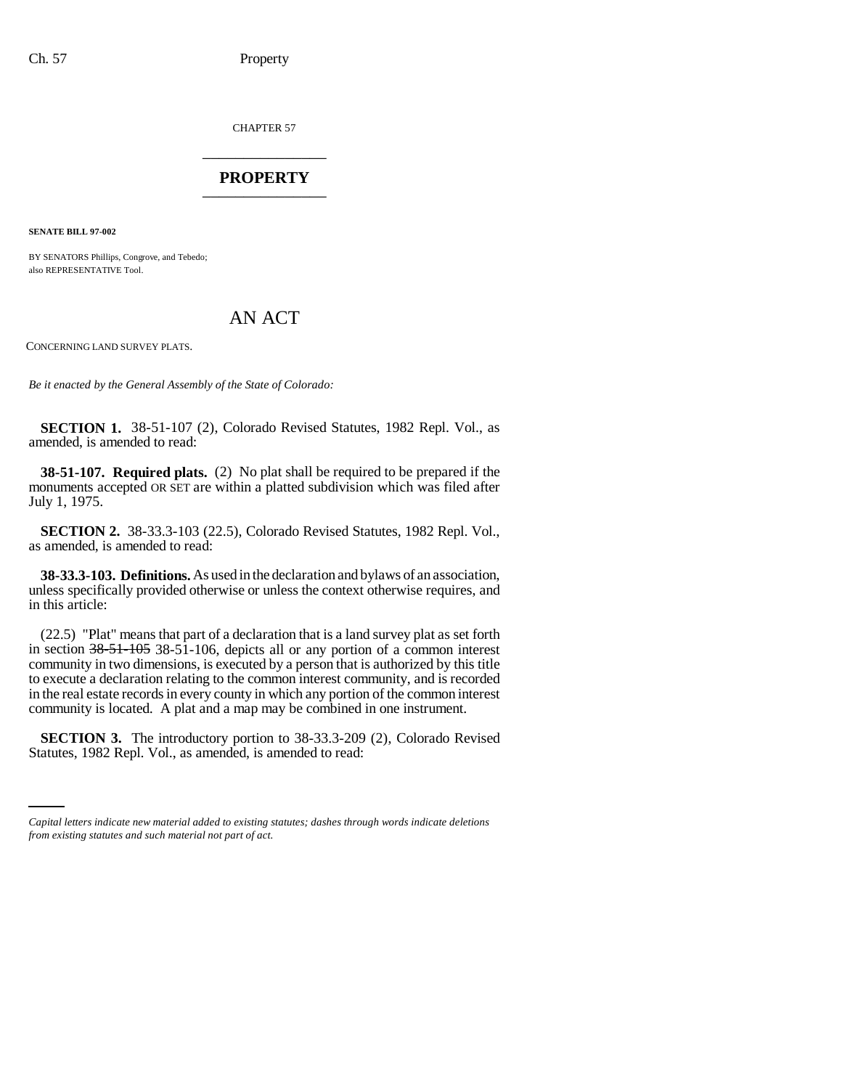CHAPTER 57 \_\_\_\_\_\_\_\_\_\_\_\_\_\_\_

## **PROPERTY** \_\_\_\_\_\_\_\_\_\_\_\_\_\_\_

**SENATE BILL 97-002**

BY SENATORS Phillips, Congrove, and Tebedo; also REPRESENTATIVE Tool.

## AN ACT

CONCERNING LAND SURVEY PLATS.

*Be it enacted by the General Assembly of the State of Colorado:*

**SECTION 1.** 38-51-107 (2), Colorado Revised Statutes, 1982 Repl. Vol., as amended, is amended to read:

**38-51-107. Required plats.** (2) No plat shall be required to be prepared if the monuments accepted OR SET are within a platted subdivision which was filed after July 1, 1975.

**SECTION 2.** 38-33.3-103 (22.5), Colorado Revised Statutes, 1982 Repl. Vol., as amended, is amended to read:

**38-33.3-103. Definitions.** As used in the declaration and bylaws of an association, unless specifically provided otherwise or unless the context otherwise requires, and in this article:

(22.5) "Plat" means that part of a declaration that is a land survey plat as set forth in section 38-51-105 38-51-106, depicts all or any portion of a common interest community in two dimensions, is executed by a person that is authorized by this title to execute a declaration relating to the common interest community, and is recorded in the real estate records in every county in which any portion of the common interest community is located. A plat and a map may be combined in one instrument.

**SECTION 3.** The introductory portion to 38-33.3-209 (2), Colorado Revised Statutes, 1982 Repl. Vol., as amended, is amended to read:

*Capital letters indicate new material added to existing statutes; dashes through words indicate deletions from existing statutes and such material not part of act.*